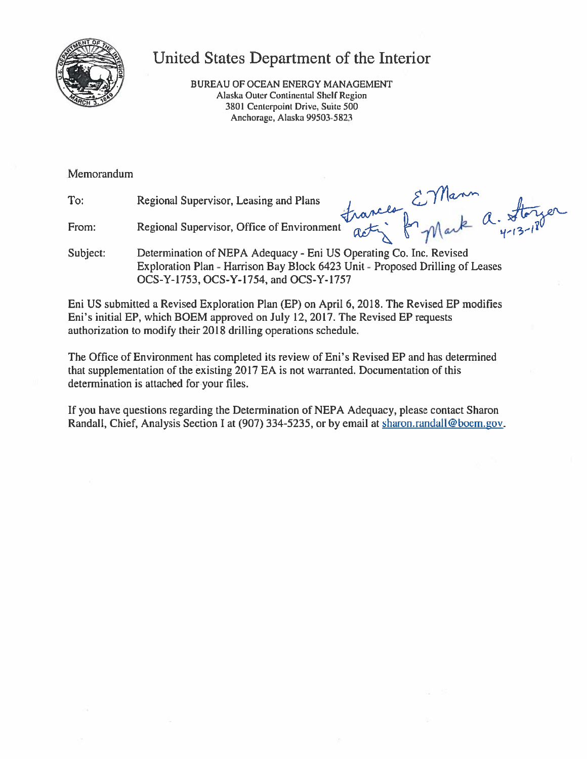

# United States Department of the Interior

BUREAU OF OCEAN ENERGY MANAGEMENT Alaska Outer Continental Shelf Region 3801 Centerpoint Drive, Suite 500 Anchorage, Alaska 99503-5823

Memorandum

From:

To: Regional Supervisor, Leasing and Plans

trances EVMann<br>tractif fry Mark a. Storyer Regional Supervisor, Office of Environment

Determination of NEPA Adequacy - Eni US Operating Co. Inc. Revised Subject: Exploration Plan - Harrison Bay Block 6423 Unit - Proposed Drilling of Leases OCS-Y-1753, OCS-Y-1754, and OCS-Y-1757

Eni US submitted a Revised Exploration Plan (EP) on April 6, 2018. The Revised EP modifies Eni's initial EP, which BOEM approved on July 12, 2017. The Revised EP requests authorization to modify their 2018 drilling operations schedule.

The Office of Environment has completed its review of Eni's Revised EP and has determined that supplementation of the existing 2017 EA is not warranted. Documentation of this determination is attached for your files.

If you have questions regarding the Determination of NEPA Adequacy, please contact Sharon Randall, Chief, Analysis Section I at (907) 334-5235, or by email at sharon.randall@boem.gov.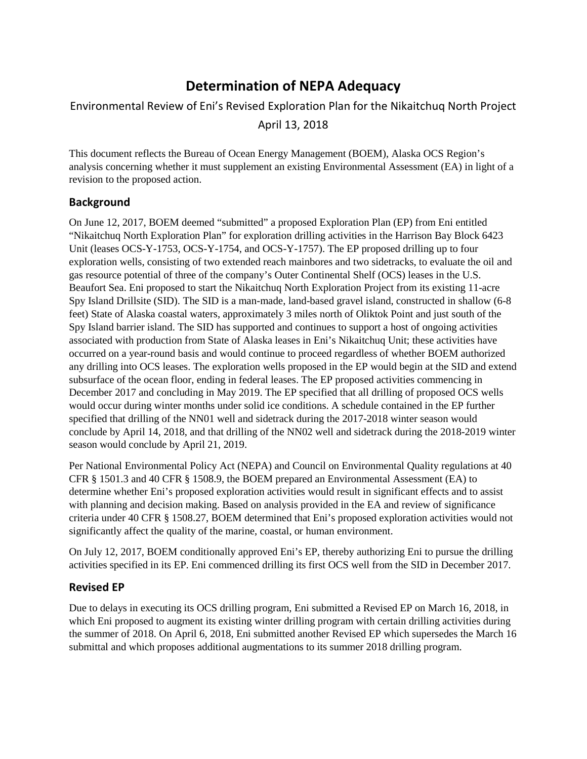### **Determination of NEPA Adequacy**

## Environmental Review of Eni's Revised Exploration Plan for the Nikaitchuq North Project April 13, 2018

 analysis concerning whether it must supplement an existing Environmental Assessment (EA) in light of a This document reflects the Bureau of Ocean Energy Management (BOEM), Alaska OCS Region's revision to the proposed action.

#### **Background**

 On June 12, 2017, BOEM deemed "submitted" a proposed Exploration Plan (EP) from Eni entitled gas resource potential of three of the company's Outer Continental Shelf (OCS) leases in the U.S. Spy Island Drillsite (SID). The SID is a man-made, land-based gravel island, constructed in shallow (6-8 feet) State of Alaska coastal waters, approximately 3 miles north of Oliktok Point and just south of the Spy Island barrier island. The SID has supported and continues to support a host of ongoing activities associated with production from State of Alaska leases in Eni's Nikaitchuq Unit; these activities have occurred on a year-round basis and would continue to proceed regardless of whether BOEM authorized any drilling into OCS leases. The exploration wells proposed in the EP would begin at the SID and extend specified that drilling of the NN01 well and sidetrack during the 2017-2018 winter season would conclude by April 14, 2018, and that drilling of the NN02 well and sidetrack during the 2018-2019 winter "Nikaitchuq North Exploration Plan" for exploration drilling activities in the Harrison Bay Block 6423 Unit (leases OCS-Y-1753, OCS-Y-1754, and OCS-Y-1757). The EP proposed drilling up to four exploration wells, consisting of two extended reach mainbores and two sidetracks, to evaluate the oil and Beaufort Sea. Eni proposed to start the Nikaitchuq North Exploration Project from its existing 11-acre subsurface of the ocean floor, ending in federal leases. The EP proposed activities commencing in December 2017 and concluding in May 2019. The EP specified that all drilling of proposed OCS wells would occur during winter months under solid ice conditions. A schedule contained in the EP further season would conclude by April 21, 2019.

 CFR § 1501.3 and 40 CFR § 1508.9, the BOEM prepared an Environmental Assessment (EA) to determine whether Eni's proposed exploration activities would result in significant effects and to assist with planning and decision making. Based on analysis provided in the EA and review of significance significantly affect the quality of the marine, coastal, or human environment. Per National Environmental Policy Act (NEPA) and Council on Environmental Quality regulations at 40 criteria under 40 CFR § 1508.27, BOEM determined that Eni's proposed exploration activities would not

 On July 12, 2017, BOEM conditionally approved Eni's EP, thereby authorizing Eni to pursue the drilling activities specified in its EP. Eni commenced drilling its first OCS well from the SID in December 2017.

### **Revised EP**

 the summer of 2018. On April 6, 2018, Eni submitted another Revised EP which supersedes the March 16 submittal and which proposes additional augmentations to its summer 2018 drilling program. Due to delays in executing its OCS drilling program, Eni submitted a Revised EP on March 16, 2018, in which Eni proposed to augment its existing winter drilling program with certain drilling activities during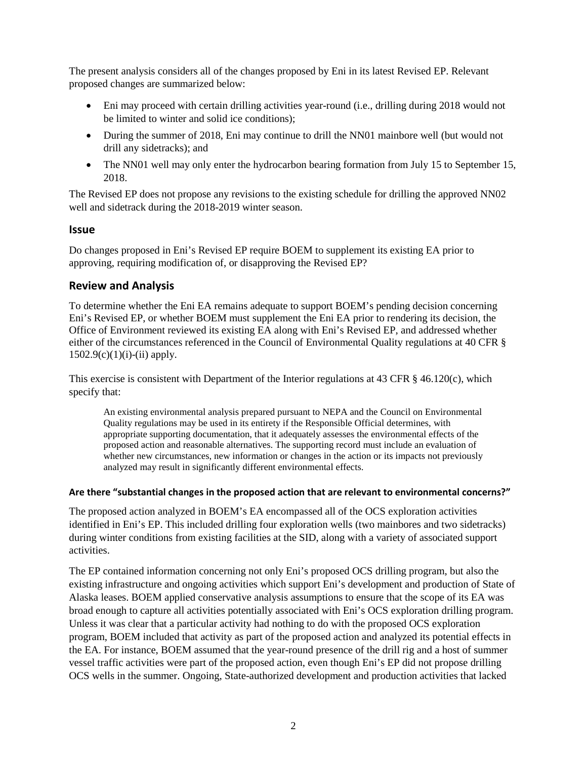The present analysis considers all of the changes proposed by Eni in its latest Revised EP. Relevant proposed changes are summarized below:

- • Eni may proceed with certain drilling activities year-round (i.e., drilling during 2018 would not be limited to winter and solid ice conditions);
- During the summer of 2018, Eni may continue to drill the NN01 mainbore well (but would not drill any sidetracks); and
- The NN01 well may only enter the hydrocarbon bearing formation from July 15 to September 15, 2018.

 The Revised EP does not propose any revisions to the existing schedule for drilling the approved NN02 well and sidetrack during the 2018-2019 winter season.

#### **Issue**

 Do changes proposed in Eni's Revised EP require BOEM to supplement its existing EA prior to approving, requiring modification of, or disapproving the Revised EP?

#### **Review and Analysis**

 Eni's Revised EP, or whether BOEM must supplement the Eni EA prior to rendering its decision, the Office of Environment reviewed its existing EA along with Eni's Revised EP, and addressed whether  $1502.9(c)(1)(i)$ -(ii) apply. To determine whether the Eni EA remains adequate to support BOEM's pending decision concerning either of the circumstances referenced in the Council of Environmental Quality regulations at 40 CFR §

This exercise is consistent with Department of the Interior regulations at 43 CFR § 46.120(c), which specify that:

 Quality regulations may be used in its entirety if the Responsible Official determines, with An existing environmental analysis prepared pursuant to NEPA and the Council on Environmental appropriate supporting documentation, that it adequately assesses the environmental effects of the proposed action and reasonable alternatives. The supporting record must include an evaluation of whether new circumstances, new information or changes in the action or its impacts not previously analyzed may result in significantly different environmental effects.

#### **Are there "substantial changes in the proposed action that are relevant to environmental concerns?"**

 identified in Eni's EP. This included drilling four exploration wells (two mainbores and two sidetracks) during winter conditions from existing facilities at the SID, along with a variety of associated support The proposed action analyzed in BOEM's EA encompassed all of the OCS exploration activities activities.

 Alaska leases. BOEM applied conservative analysis assumptions to ensure that the scope of its EA was Unless it was clear that a particular activity had nothing to do with the proposed OCS exploration the EA. For instance, BOEM assumed that the year-round presence of the drill rig and a host of summer vessel traffic activities were part of the proposed action, even though Eni's EP did not propose drilling OCS wells in the summer. Ongoing, State-authorized development and production activities that lacked The EP contained information concerning not only Eni's proposed OCS drilling program, but also the existing infrastructure and ongoing activities which support Eni's development and production of State of broad enough to capture all activities potentially associated with Eni's OCS exploration drilling program. program, BOEM included that activity as part of the proposed action and analyzed its potential effects in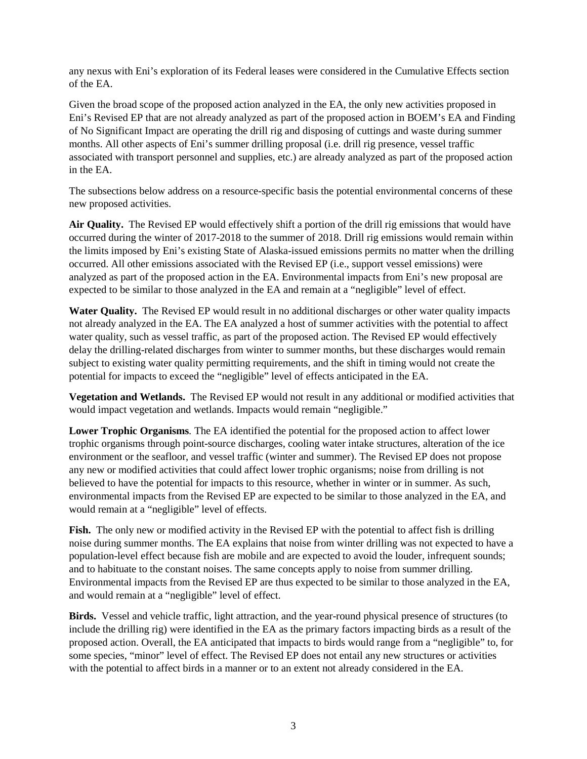any nexus with Eni's exploration of its Federal leases were considered in the Cumulative Effects section of the EA.

 of No Significant Impact are operating the drill rig and disposing of cuttings and waste during summer Given the broad scope of the proposed action analyzed in the EA, the only new activities proposed in Eni's Revised EP that are not already analyzed as part of the proposed action in BOEM's EA and Finding months. All other aspects of Eni's summer drilling proposal (i.e. drill rig presence, vessel traffic associated with transport personnel and supplies, etc.) are already analyzed as part of the proposed action in the EA.

 new proposed activities. The subsections below address on a resource-specific basis the potential environmental concerns of these

 **Air Quality.** The Revised EP would effectively shift a portion of the drill rig emissions that would have occurred during the winter of 2017-2018 to the summer of 2018. Drill rig emissions would remain within the limits imposed by Eni's existing State of Alaska-issued emissions permits no matter when the drilling analyzed as part of the proposed action in the EA. Environmental impacts from Eni's new proposal are expected to be similar to those analyzed in the EA and remain at a "negligible" level of effect. occurred. All other emissions associated with the Revised EP (i.e., support vessel emissions) were

Water Quality. The Revised EP would result in no additional discharges or other water quality impacts not already analyzed in the EA. The EA analyzed a host of summer activities with the potential to affect water quality, such as vessel traffic, as part of the proposed action. The Revised EP would effectively delay the drilling-related discharges from winter to summer months, but these discharges would remain subject to existing water quality permitting requirements, and the shift in timing would not create the potential for impacts to exceed the "negligible" level of effects anticipated in the EA.

 **Vegetation and Wetlands.** The Revised EP would not result in any additional or modified activities that would impact vegetation and wetlands. Impacts would remain "negligible."

 trophic organisms through point-source discharges, cooling water intake structures, alteration of the ice believed to have the potential for impacts to this resource, whether in winter or in summer. As such, environmental impacts from the Revised EP are expected to be similar to those analyzed in the EA, and **Lower Trophic Organisms***.* The EA identified the potential for the proposed action to affect lower environment or the seafloor, and vessel traffic (winter and summer). The Revised EP does not propose any new or modified activities that could affect lower trophic organisms; noise from drilling is not would remain at a "negligible" level of effects.

 noise during summer months. The EA explains that noise from winter drilling was not expected to have a and to habituate to the constant noises. The same concepts apply to noise from summer drilling. Environmental impacts from the Revised EP are thus expected to be similar to those analyzed in the EA, and would remain at a "negligible" level of effect. **Fish.** The only new or modified activity in the Revised EP with the potential to affect fish is drilling population-level effect because fish are mobile and are expected to avoid the louder, infrequent sounds;

 include the drilling rig) were identified in the EA as the primary factors impacting birds as a result of the proposed action. Overall, the EA anticipated that impacts to birds would range from a "negligible" to, for with the potential to affect birds in a manner or to an extent not already considered in the EA. **Birds.** Vessel and vehicle traffic, light attraction, and the year-round physical presence of structures (to some species, "minor" level of effect. The Revised EP does not entail any new structures or activities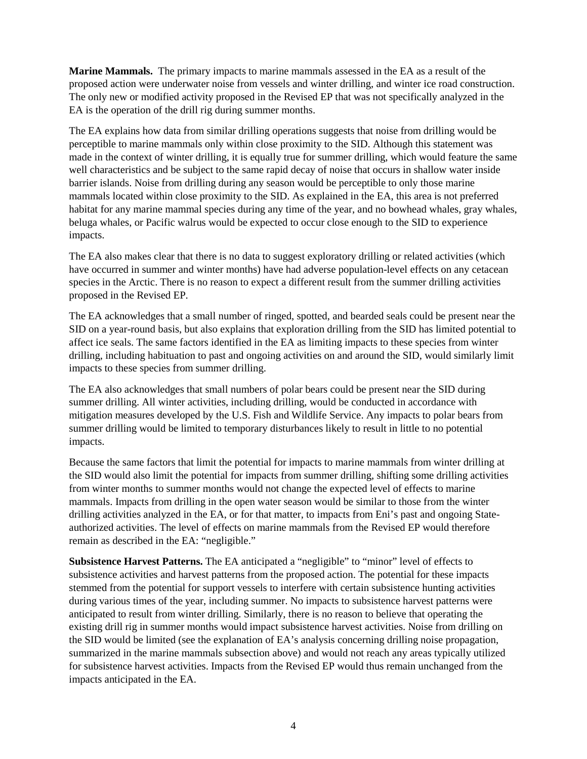**Marine Mammals.** The primary impacts to marine mammals assessed in the EA as a result of the proposed action were underwater noise from vessels and winter drilling, and winter ice road construction. The only new or modified activity proposed in the Revised EP that was not specifically analyzed in the EA is the operation of the drill rig during summer months.

 well characteristics and be subject to the same rapid decay of noise that occurs in shallow water inside barrier islands. Noise from drilling during any season would be perceptible to only those marine mammals located within close proximity to the SID. As explained in the EA, this area is not preferred impacts. The EA explains how data from similar drilling operations suggests that noise from drilling would be perceptible to marine mammals only within close proximity to the SID. Although this statement was made in the context of winter drilling, it is equally true for summer drilling, which would feature the same habitat for any marine mammal species during any time of the year, and no bowhead whales, gray whales, beluga whales, or Pacific walrus would be expected to occur close enough to the SID to experience

impacts.<br>The EA also makes clear that there is no data to suggest exploratory drilling or related activities (which species in the Arctic. There is no reason to expect a different result from the summer drilling activities have occurred in summer and winter months) have had adverse population-level effects on any cetacean proposed in the Revised EP.

 The EA acknowledges that a small number of ringed, spotted, and bearded seals could be present near the affect ice seals. The same factors identified in the EA as limiting impacts to these species from winter impacts to these species from summer drilling. SID on a year-round basis, but also explains that exploration drilling from the SID has limited potential to drilling, including habituation to past and ongoing activities on and around the SID, would similarly limit

 mitigation measures developed by the U.S. Fish and Wildlife Service. Any impacts to polar bears from The EA also acknowledges that small numbers of polar bears could be present near the SID during. summer drilling. All winter activities, including drilling, would be conducted in accordance with summer drilling would be limited to temporary disturbances likely to result in little to no potential impacts.

 Because the same factors that limit the potential for impacts to marine mammals from winter drilling at from winter months to summer months would not change the expected level of effects to marine remain as described in the EA: "negligible." the SID would also limit the potential for impacts from summer drilling, shifting some drilling activities mammals. Impacts from drilling in the open water season would be similar to those from the winter drilling activities analyzed in the EA, or for that matter, to impacts from Eni's past and ongoing Stateauthorized activities. The level of effects on marine mammals from the Revised EP would therefore

 **Subsistence Harvest Patterns.** The EA anticipated a "negligible" to "minor" level of effects to during various times of the year, including summer. No impacts to subsistence harvest patterns were existing drill rig in summer months would impact subsistence harvest activities. Noise from drilling on the SID would be limited (see the explanation of EA's analysis concerning drilling noise propagation, for subsistence harvest activities. Impacts from the Revised EP would thus remain unchanged from the impacts anticipated in the EA. subsistence activities and harvest patterns from the proposed action. The potential for these impacts stemmed from the potential for support vessels to interfere with certain subsistence hunting activities anticipated to result from winter drilling. Similarly, there is no reason to believe that operating the summarized in the marine mammals subsection above) and would not reach any areas typically utilized impacts anticipated in the EA. 4